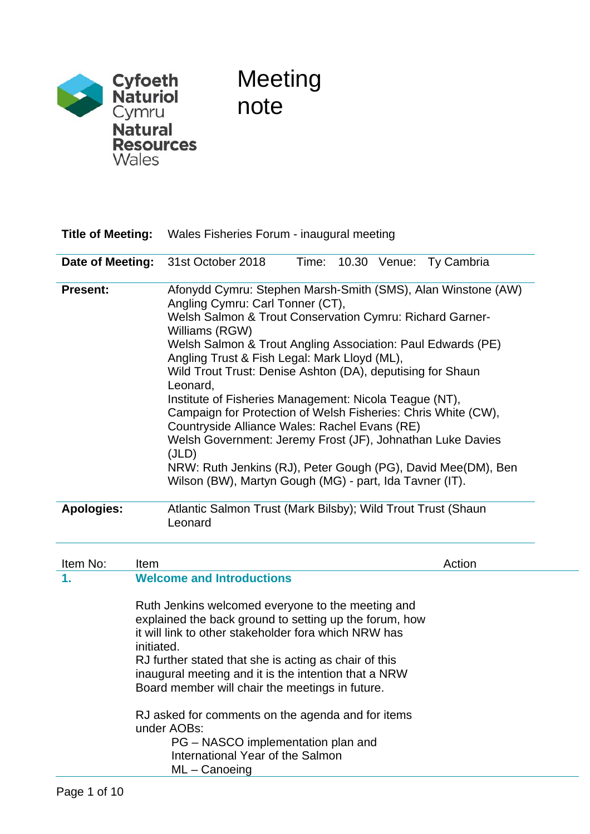

# Meeting note

| <b>Title of Meeting:</b> | Wales Fisheries Forum - inaugural meeting                                                                                                                                                                                                                                                                                                                                                                                                                                                                                                                                                                                                                                                                                                             |  |  |  |
|--------------------------|-------------------------------------------------------------------------------------------------------------------------------------------------------------------------------------------------------------------------------------------------------------------------------------------------------------------------------------------------------------------------------------------------------------------------------------------------------------------------------------------------------------------------------------------------------------------------------------------------------------------------------------------------------------------------------------------------------------------------------------------------------|--|--|--|
| Date of Meeting:         | 31st October 2018<br>Time:<br>10.30 Venue: Ty Cambria                                                                                                                                                                                                                                                                                                                                                                                                                                                                                                                                                                                                                                                                                                 |  |  |  |
| <b>Present:</b>          | Afonydd Cymru: Stephen Marsh-Smith (SMS), Alan Winstone (AW)<br>Angling Cymru: Carl Tonner (CT),<br>Welsh Salmon & Trout Conservation Cymru: Richard Garner-<br>Williams (RGW)<br>Welsh Salmon & Trout Angling Association: Paul Edwards (PE)<br>Angling Trust & Fish Legal: Mark Lloyd (ML),<br>Wild Trout Trust: Denise Ashton (DA), deputising for Shaun<br>Leonard,<br>Institute of Fisheries Management: Nicola Teague (NT),<br>Campaign for Protection of Welsh Fisheries: Chris White (CW),<br>Countryside Alliance Wales: Rachel Evans (RE)<br>Welsh Government: Jeremy Frost (JF), Johnathan Luke Davies<br>(JLD)<br>NRW: Ruth Jenkins (RJ), Peter Gough (PG), David Mee(DM), Ben<br>Wilson (BW), Martyn Gough (MG) - part, Ida Tavner (IT). |  |  |  |
| <b>Apologies:</b>        | Atlantic Salmon Trust (Mark Bilsby); Wild Trout Trust (Shaun<br>Leonard                                                                                                                                                                                                                                                                                                                                                                                                                                                                                                                                                                                                                                                                               |  |  |  |
| Item No:                 | Action<br><b>Item</b>                                                                                                                                                                                                                                                                                                                                                                                                                                                                                                                                                                                                                                                                                                                                 |  |  |  |
| 1.                       | <b>Welcome and Introductions</b><br>Ruth Jenkins welcomed everyone to the meeting and<br>explained the back ground to setting up the forum, how<br>it will link to other stakeholder fora which NRW has<br>initiated.<br>RJ further stated that she is acting as chair of this<br>inaugural meeting and it is the intention that a NRW<br>Board member will chair the meetings in future.<br>RJ asked for comments on the agenda and for items<br>under AOBs:                                                                                                                                                                                                                                                                                         |  |  |  |

PG – NASCO implementation plan and International Year of the Salmon ML – Canoeing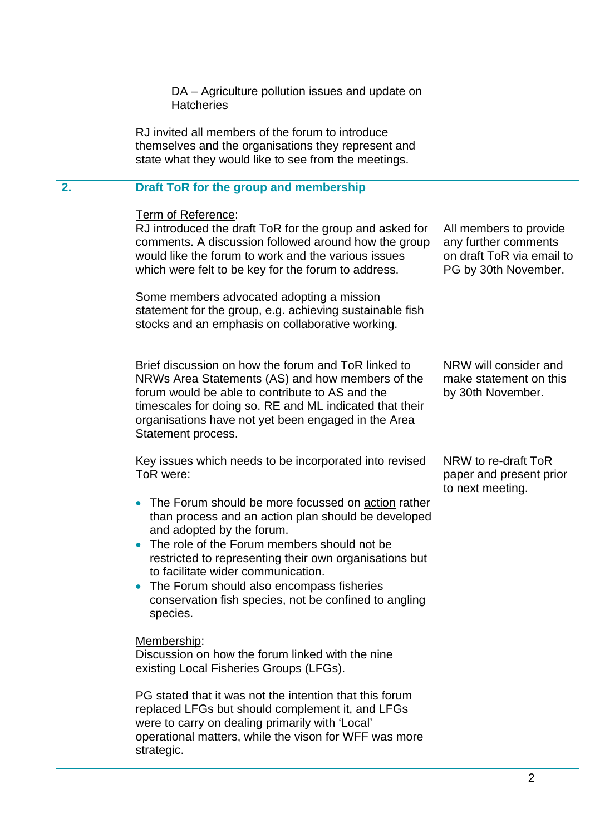DA – Agriculture pollution issues and update on **Hatcheries** 

RJ invited all members of the forum to introduce themselves and the organisations they represent and state what they would like to see from the meetings.

# **2. Draft ToR for the group and membership**

| Term of Reference:<br>RJ introduced the draft ToR for the group and asked for<br>comments. A discussion followed around how the group<br>would like the forum to work and the various issues<br>which were felt to be key for the forum to address.                                                                                                                                                                                                                            | All members to provide<br>any further comments<br>on draft ToR via email to<br>PG by 30th November. |  |  |
|--------------------------------------------------------------------------------------------------------------------------------------------------------------------------------------------------------------------------------------------------------------------------------------------------------------------------------------------------------------------------------------------------------------------------------------------------------------------------------|-----------------------------------------------------------------------------------------------------|--|--|
| Some members advocated adopting a mission<br>statement for the group, e.g. achieving sustainable fish<br>stocks and an emphasis on collaborative working.                                                                                                                                                                                                                                                                                                                      |                                                                                                     |  |  |
| Brief discussion on how the forum and ToR linked to<br>NRWs Area Statements (AS) and how members of the<br>forum would be able to contribute to AS and the<br>timescales for doing so. RE and ML indicated that their<br>organisations have not yet been engaged in the Area<br>Statement process.                                                                                                                                                                             | NRW will consider and<br>make statement on this<br>by 30th November.                                |  |  |
| Key issues which needs to be incorporated into revised<br>ToR were:<br>The Forum should be more focussed on action rather<br>than process and an action plan should be developed<br>and adopted by the forum.<br>The role of the Forum members should not be<br>restricted to representing their own organisations but<br>to facilitate wider communication.<br>The Forum should also encompass fisheries<br>conservation fish species, not be confined to angling<br>species. | NRW to re-draft ToR<br>paper and present prior<br>to next meeting.                                  |  |  |
| Membership:<br>Discussion on how the forum linked with the nine<br>existing Local Fisheries Groups (LFGs).<br>PG stated that it was not the intention that this forum                                                                                                                                                                                                                                                                                                          |                                                                                                     |  |  |

: this forum replaced LFGs but should complement it, and LFGs were to carry on dealing primarily with 'Local' operational matters, while the vison for WFF was more strategic.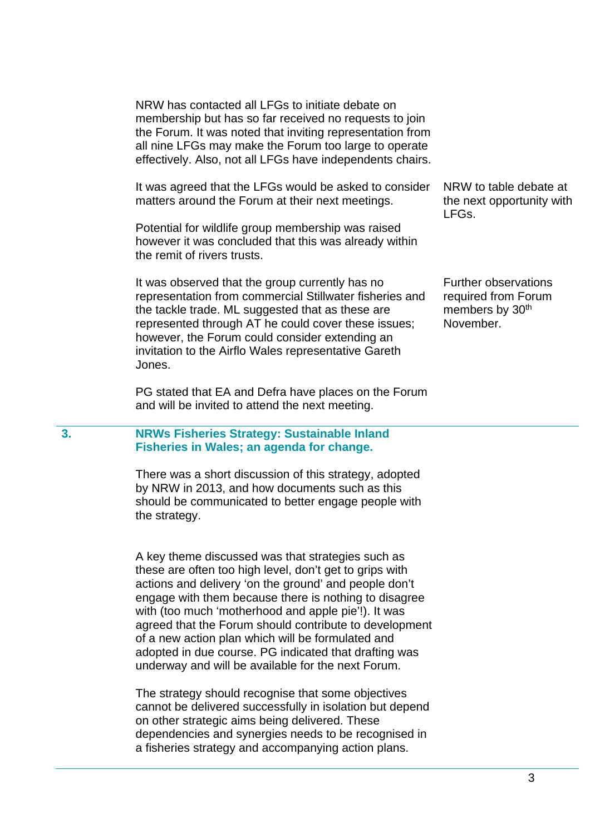NRW has contacted all LFGs to initiate debate on membership but has so far received no requests to join the Forum. It was noted that inviting representation from all nine LFGs may make the Forum too large to operate effectively. Also, not all LFGs have independents chairs.

It was agreed that the LFGs would be asked to consider matters around the Forum at their next meetings.

Potential for wildlife group membership was raised however it was concluded that this was already within the remit of rivers trusts.

It was observed that the group currently has no representation from commercial Stillwater fisheries and the tackle trade. ML suggested that as these are represented through AT he could cover these issues; however, the Forum could consider extending an invitation to the Airflo Wales representative Gareth Jones.

PG stated that EA and Defra have places on the Forum and will be invited to attend the next meeting.

# **3. NRWs Fisheries Strategy: Sustainable Inland Fisheries in Wales; an agenda for change.**

There was a short discussion of this strategy, adopted by NRW in 2013, and how documents such as this should be communicated to better engage people with the strategy.

A key theme discussed was that strategies such as these are often too high level, don't get to grips with actions and delivery 'on the ground' and people don't engage with them because there is nothing to disagree with (too much 'motherhood and apple pie'!). It was agreed that the Forum should contribute to development of a new action plan which will be formulated and adopted in due course. PG indicated that drafting was underway and will be available for the next Forum.

The strategy should recognise that some objectives cannot be delivered successfully in isolation but depend on other strategic aims being delivered. These dependencies and synergies needs to be recognised in a fisheries strategy and accompanying action plans.

NRW to table debate at the next opportunity with LFGs.

Further observations required from Forum members by 30<sup>th</sup> November.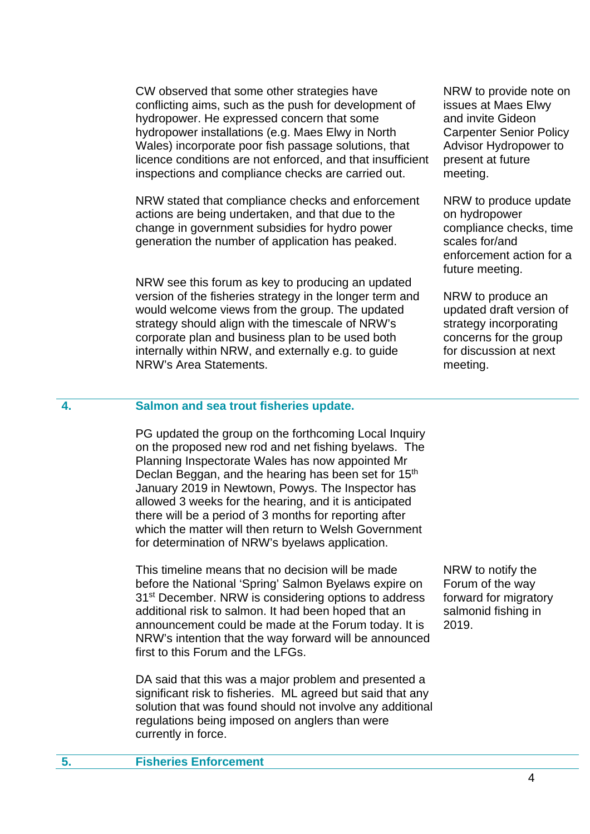CW observed that some other strategies have conflicting aims, such as the push for development of hydropower. He expressed concern that some hydropower installations (e.g. Maes Elwy in North Wales) incorporate poor fish passage solutions, that licence conditions are not enforced, and that insufficient inspections and compliance checks are carried out.

NRW stated that compliance checks and enforcement actions are being undertaken, and that due to the change in government subsidies for hydro power generation the number of application has peaked.

NRW see this forum as key to producing an updated version of the fisheries strategy in the longer term and would welcome views from the group. The updated strategy should align with the timescale of NRW's corporate plan and business plan to be used both internally within NRW, and externally e.g. to guide NRW's Area Statements.

NRW to provide note on issues at Maes Elwy and invite Gideon Carpenter Senior Policy Advisor Hydropower to present at future meeting.

NRW to produce update on hydropower compliance checks, time scales for/and enforcement action for a future meeting.

NRW to produce an updated draft version of strategy incorporating concerns for the group for discussion at next meeting.

# **4. Salmon and sea trout fisheries update.**

PG updated the group on the forthcoming Local Inquiry on the proposed new rod and net fishing byelaws. The Planning Inspectorate Wales has now appointed Mr Declan Beggan, and the hearing has been set for 15<sup>th</sup> January 2019 in Newtown, Powys. The Inspector has allowed 3 weeks for the hearing, and it is anticipated there will be a period of 3 months for reporting after which the matter will then return to Welsh Government for determination of NRW's byelaws application.

This timeline means that no decision will be made before the National 'Spring' Salmon Byelaws expire on 31<sup>st</sup> December. NRW is considering options to address additional risk to salmon. It had been hoped that an announcement could be made at the Forum today. It is NRW's intention that the way forward will be announced first to this Forum and the LFGs.

DA said that this was a major problem and presented a significant risk to fisheries. ML agreed but said that any solution that was found should not involve any additional regulations being imposed on anglers than were currently in force.

NRW to notify the Forum of the way forward for migratory salmonid fishing in 2019.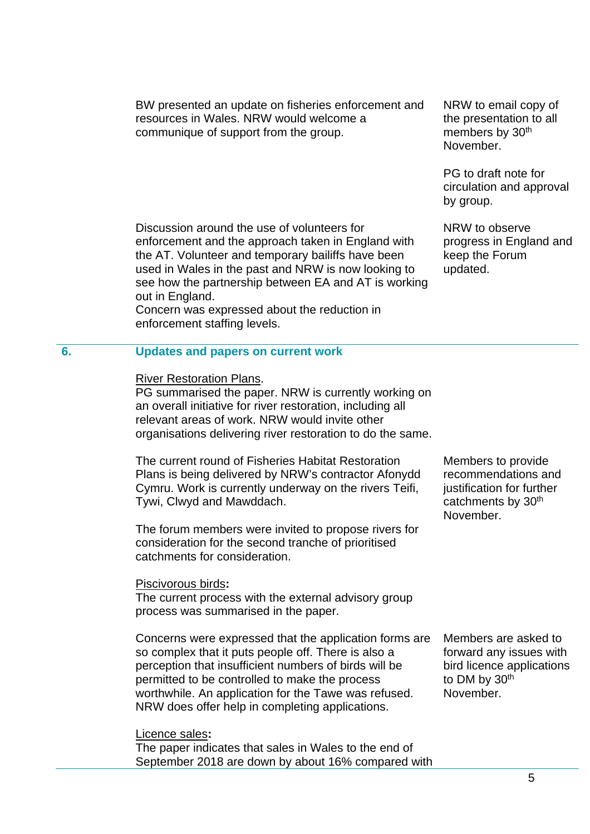BW presented an update on fisheries enforcement and resources in Wales. NRW would welcome a communique of support from the group.

Discussion around the use of volunteers for enforcement and the approach taken in England with the AT. Volunteer and temporary bailiffs have been used in Wales in the past and NRW is now looking to see how the partnership between EA and AT is working out in England.

Concern was expressed about the reduction in enforcement staffing levels.

NRW to email copy of the presentation to all members by 30<sup>th</sup> November.

PG to draft note for circulation and approval by group.

NRW to observe progress in England and keep the Forum updated.

## **6. Updates and papers on current work**

#### River Restoration Plans.

PG summarised the paper. NRW is currently working on an overall initiative for river restoration, including all relevant areas of work. NRW would invite other organisations delivering river restoration to do the same.

The current round of Fisheries Habitat Restoration Plans is being delivered by NRW's contractor Afonydd Cymru. Work is currently underway on the rivers Teifi, Tywi, Clwyd and Mawddach.

The forum members were invited to propose rivers for consideration for the second tranche of prioritised catchments for consideration.

#### Piscivorous birds**:**

The current process with the external advisory group process was summarised in the paper.

Concerns were expressed that the application forms are so complex that it puts people off. There is also a perception that insufficient numbers of birds will be permitted to be controlled to make the process worthwhile. An application for the Tawe was refused. NRW does offer help in completing applications.

Licence sales**:** 

The paper indicates that sales in Wales to the end of September 2018 are down by about 16% compared with

Members to provide recommendations and justification for further catchments by 30th November.

Members are asked to forward any issues with bird licence applications to DM by 30<sup>th</sup> November.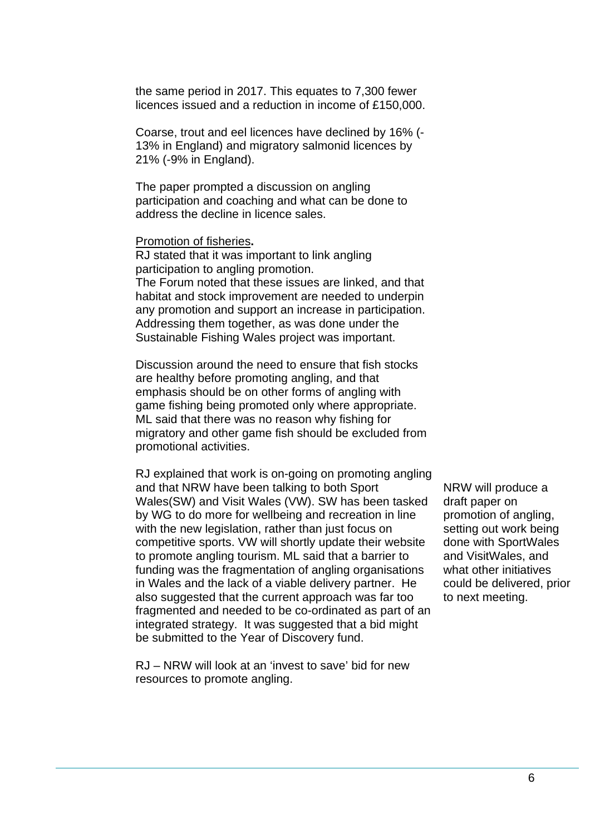the same period in 2017. This equates to 7,300 fewer licences issued and a reduction in income of £150,000.

Coarse, trout and eel licences have declined by 16% (- 13% in England) and migratory salmonid licences by 21% (-9% in England).

The paper prompted a discussion on angling participation and coaching and what can be done to address the decline in licence sales.

#### Promotion of fisheries**.**

RJ stated that it was important to link angling participation to angling promotion. The Forum noted that these issues are linked, and that habitat and stock improvement are needed to underpin any promotion and support an increase in participation. Addressing them together, as was done under the Sustainable Fishing Wales project was important.

Discussion around the need to ensure that fish stocks are healthy before promoting angling, and that emphasis should be on other forms of angling with game fishing being promoted only where appropriate. ML said that there was no reason why fishing for migratory and other game fish should be excluded from promotional activities.

RJ explained that work is on-going on promoting angling and that NRW have been talking to both Sport Wales(SW) and Visit Wales (VW). SW has been tasked by WG to do more for wellbeing and recreation in line with the new legislation, rather than just focus on competitive sports. VW will shortly update their website to promote angling tourism. ML said that a barrier to funding was the fragmentation of angling organisations in Wales and the lack of a viable delivery partner. He also suggested that the current approach was far too fragmented and needed to be co-ordinated as part of an integrated strategy. It was suggested that a bid might be submitted to the Year of Discovery fund.

RJ – NRW will look at an 'invest to save' bid for new resources to promote angling.

NRW will produce a draft paper on promotion of angling, setting out work being done with SportWales and VisitWales, and what other initiatives could be delivered, prior to next meeting.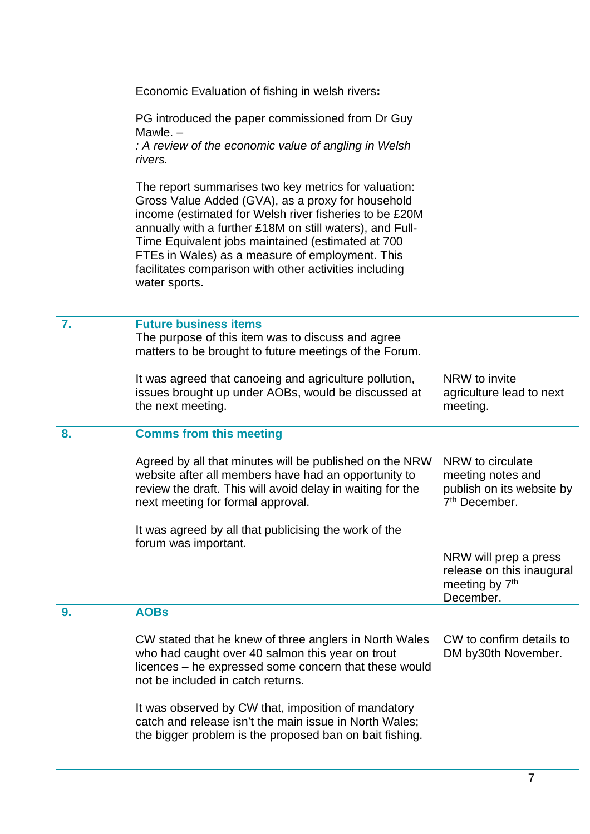Economic Evaluation of fishing in welsh rivers**:** 

PG introduced the paper commissioned from Dr Guy Mawle. –

*: A review of the economic value of angling in Welsh rivers.* 

The report summarises two key metrics for valuation: Gross Value Added (GVA), as a proxy for household income (estimated for Welsh river fisheries to be £20M annually with a further £18M on still waters), and Full-Time Equivalent jobs maintained (estimated at 700 FTEs in Wales) as a measure of employment. This facilitates comparison with other activities including water sports.

# **7. Future business items**

The purpose of this item was to discuss and agree matters to be brought to future meetings of the Forum.

It was agreed that canoeing and agriculture pollution, issues brought up under AOBs, would be discussed at the next meeting. NRW to invite agriculture lead to next meeting.

## **8. Comms from this meeting**

Agreed by all that minutes will be published on the NRW website after all members have had an opportunity to review the draft. This will avoid delay in waiting for the next meeting for formal approval. NRW to circulate meeting notes and publish on its website by 7th December.

It was agreed by all that publicising the work of the forum was important.

> NRW will prep a press release on this inaugural meeting by 7<sup>th</sup> December.

# **9. AOBs**

CW stated that he knew of three anglers in North Wales who had caught over 40 salmon this year on trout licences – he expressed some concern that these would not be included in catch returns. CW to confirm details to DM by30th November.

It was observed by CW that, imposition of mandatory catch and release isn't the main issue in North Wales; the bigger problem is the proposed ban on bait fishing.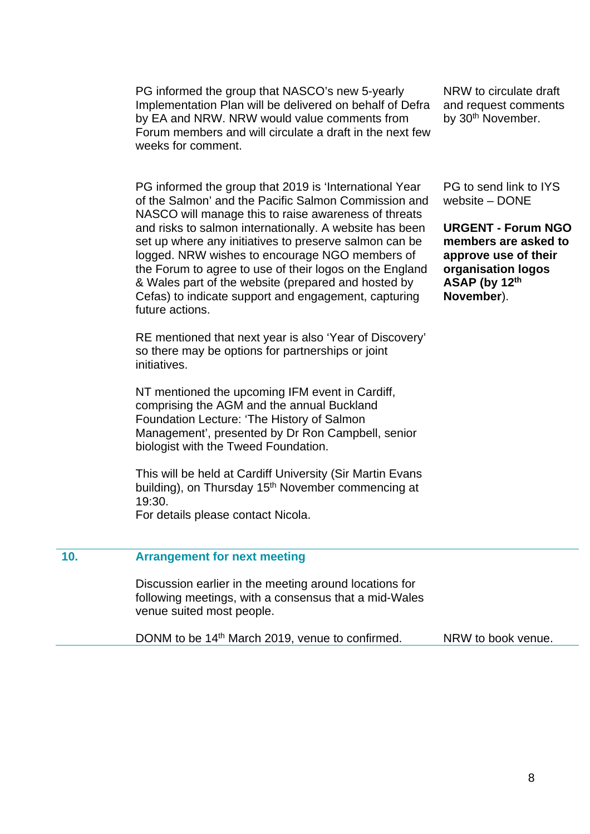PG informed the group that NASCO's new 5-yearly Implementation Plan will be delivered on behalf of Defra by EA and NRW. NRW would value comments from Forum members and will circulate a draft in the next few weeks for comment.

PG informed the group that 2019 is 'International Year of the Salmon' and the Pacific Salmon Commission and NASCO will manage this to raise awareness of threats and risks to salmon internationally. A website has been set up where any initiatives to preserve salmon can be logged. NRW wishes to encourage NGO members of the Forum to agree to use of their logos on the England & Wales part of the website (prepared and hosted by Cefas) to indicate support and engagement, capturing future actions.

RE mentioned that next year is also 'Year of Discovery' so there may be options for partnerships or joint initiatives.

NT mentioned the upcoming IFM event in Cardiff, comprising the AGM and the annual Buckland Foundation Lecture: 'The History of Salmon Management', presented by Dr Ron Campbell, senior biologist with the Tweed Foundation.

This will be held at Cardiff University (Sir Martin Evans building), on Thursday 15<sup>th</sup> November commencing at 19:30.

For details please contact Nicola.

NRW to circulate draft and request comments by 30<sup>th</sup> November.

PG to send link to IYS website – DONE

**URGENT - Forum NGO members are asked to approve use of their organisation logos ASAP (by 12th November**).

#### **10. Arrangement for next meeting**

Discussion earlier in the meeting around locations for following meetings, with a consensus that a mid-Wales venue suited most people.

DONM to be 14<sup>th</sup> March 2019, venue to confirmed. NRW to book venue.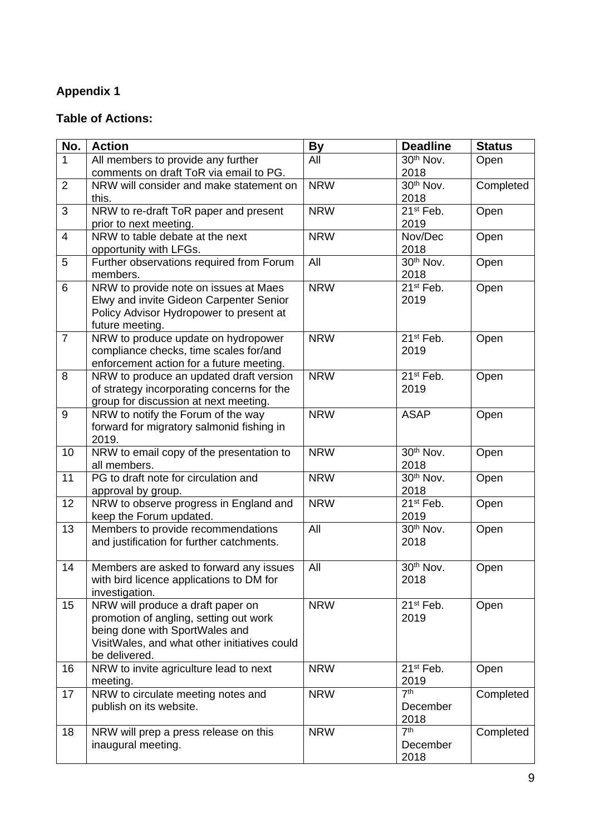# **Appendix 1**

# **Table of Actions:**

| No.            | <b>Action</b>                                                                         | <b>By</b>  | <b>Deadline</b>         | <b>Status</b> |
|----------------|---------------------------------------------------------------------------------------|------------|-------------------------|---------------|
| $\mathbf{1}$   | All members to provide any further                                                    | All        | 30 <sup>th</sup> Nov.   | Open          |
|                | comments on draft ToR via email to PG.                                                |            | 2018                    |               |
| $\overline{2}$ | NRW will consider and make statement on                                               | <b>NRW</b> | 30 <sup>th</sup> Nov.   | Completed     |
|                | this.                                                                                 |            | 2018                    |               |
| 3              | NRW to re-draft ToR paper and present                                                 | <b>NRW</b> | 21 <sup>st</sup> Feb.   | Open          |
|                | prior to next meeting.                                                                |            | 2019                    |               |
| $\overline{4}$ | NRW to table debate at the next                                                       | <b>NRW</b> | Nov/Dec                 | Open          |
|                | opportunity with LFGs.                                                                |            | 2018                    |               |
| 5              | Further observations required from Forum                                              | All        | 30 <sup>th</sup> Nov.   | Open          |
|                | members.                                                                              |            | 2018                    |               |
| 6              | NRW to provide note on issues at Maes                                                 | <b>NRW</b> | 21 <sup>st</sup> Feb.   | Open          |
|                | Elwy and invite Gideon Carpenter Senior                                               |            | 2019                    |               |
|                | Policy Advisor Hydropower to present at                                               |            |                         |               |
|                | future meeting.                                                                       |            |                         |               |
| $\overline{7}$ | NRW to produce update on hydropower                                                   | <b>NRW</b> | 21 <sup>st</sup> Feb.   | Open          |
|                | compliance checks, time scales for/and                                                |            | 2019                    |               |
| 8              | enforcement action for a future meeting.                                              | <b>NRW</b> | $21st$ Feb.             |               |
|                | NRW to produce an updated draft version<br>of strategy incorporating concerns for the |            | 2019                    | Open          |
|                | group for discussion at next meeting.                                                 |            |                         |               |
| 9              | NRW to notify the Forum of the way                                                    | <b>NRW</b> | <b>ASAP</b>             | Open          |
|                | forward for migratory salmonid fishing in                                             |            |                         |               |
|                | 2019.                                                                                 |            |                         |               |
| 10             | NRW to email copy of the presentation to                                              | <b>NRW</b> | 30 <sup>th</sup> Nov.   | Open          |
|                | all members.                                                                          |            | 2018                    |               |
| 11             | PG to draft note for circulation and                                                  | <b>NRW</b> | 30 <sup>th</sup> Nov.   | Open          |
|                | approval by group.                                                                    |            | 2018                    |               |
| 12             | NRW to observe progress in England and                                                | <b>NRW</b> | 21 <sup>st</sup> Feb.   | Open          |
|                | keep the Forum updated.                                                               |            | 2019                    |               |
| 13             | Members to provide recommendations                                                    | All        | $30th$ Nov.             | Open          |
|                | and justification for further catchments.                                             |            | 2018                    |               |
|                |                                                                                       |            |                         |               |
| 14             | Members are asked to forward any issues                                               | All        | 30 <sup>th</sup> Nov.   | Open          |
|                | with bird licence applications to DM for                                              |            | 2018                    |               |
|                | investigation.                                                                        |            |                         |               |
| 15             | NRW will produce a draft paper on                                                     | <b>NRW</b> | 21 <sup>st</sup> Feb.   | Open          |
|                | promotion of angling, setting out work                                                |            | 2019                    |               |
|                | being done with SportWales and                                                        |            |                         |               |
|                | VisitWales, and what other initiatives could                                          |            |                         |               |
|                | be delivered.                                                                         |            |                         |               |
| 16             | NRW to invite agriculture lead to next                                                | <b>NRW</b> | 21 <sup>st</sup> Feb.   | Open          |
| 17             | meeting.<br>NRW to circulate meeting notes and                                        | <b>NRW</b> | 2019<br>7 <sup>th</sup> | Completed     |
|                | publish on its website.                                                               |            | December                |               |
|                |                                                                                       |            | 2018                    |               |
| 18             | NRW will prep a press release on this                                                 | <b>NRW</b> | 7 <sup>th</sup>         | Completed     |
|                | inaugural meeting.                                                                    |            | December                |               |
|                |                                                                                       |            | 2018                    |               |
|                |                                                                                       |            |                         |               |